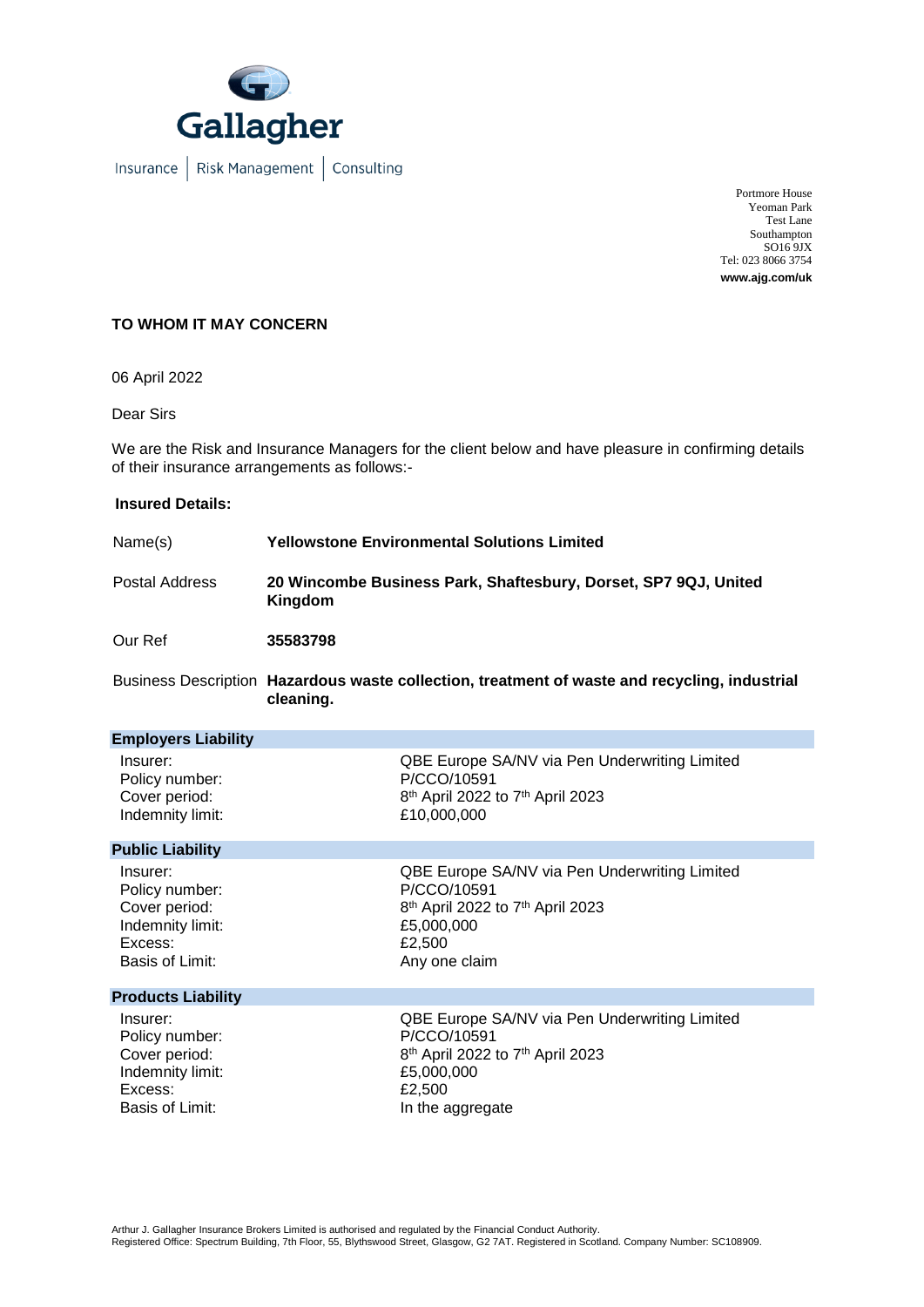

Insurance | Risk Management | Consulting

Portmore House Yeoman Park Test Lane Southampton SO16 9JX Tel: 023 8066 3754 **www.ajg.com/uk**

## **TO WHOM IT MAY CONCERN**

06 April 2022

Dear Sirs

We are the Risk and Insurance Managers for the client below and have pleasure in confirming details of their insurance arrangements as follows:-

## **Insured Details:**

| Name(s)        | <b>Yellowstone Environmental Solutions Limited</b>                         |
|----------------|----------------------------------------------------------------------------|
| Postal Address | 20 Wincombe Business Park, Shaftesbury, Dorset, SP7 9QJ, United<br>Kingdom |
| Our Ref        | 35583798                                                                   |

Business Description **Hazardous waste collection, treatment of waste and recycling, industrial cleaning.**

| <b>Employers Liability</b> |                                                          |
|----------------------------|----------------------------------------------------------|
| Insurer:                   | QBE Europe SA/NV via Pen Underwriting Limited            |
| Policy number:             | P/CCO/10591                                              |
| Cover period:              | 8 <sup>th</sup> April 2022 to 7 <sup>th</sup> April 2023 |
| Indemnity limit:           | £10,000,000                                              |
| <b>Public Liability</b>    |                                                          |
| Insurer:                   | QBE Europe SA/NV via Pen Underwriting Limited            |
| Policy number:             | P/CCO/10591                                              |
| Cover period:              | 8 <sup>th</sup> April 2022 to 7 <sup>th</sup> April 2023 |
| Indemnity limit:           | £5,000,000                                               |
| Excess:                    | £2,500                                                   |
| Basis of Limit:            | Any one claim                                            |
| <b>Products Liability</b>  |                                                          |
| Insurer:                   | QBE Europe SA/NV via Pen Underwriting Limited            |
| Policy number:             | P/CCO/10591                                              |
| Cover period:              | 8 <sup>th</sup> April 2022 to 7 <sup>th</sup> April 2023 |
| Indemnity limit:           | £5,000,000                                               |
| Excess:                    | £2,500                                                   |
| Basis of Limit:            | In the aggregate                                         |